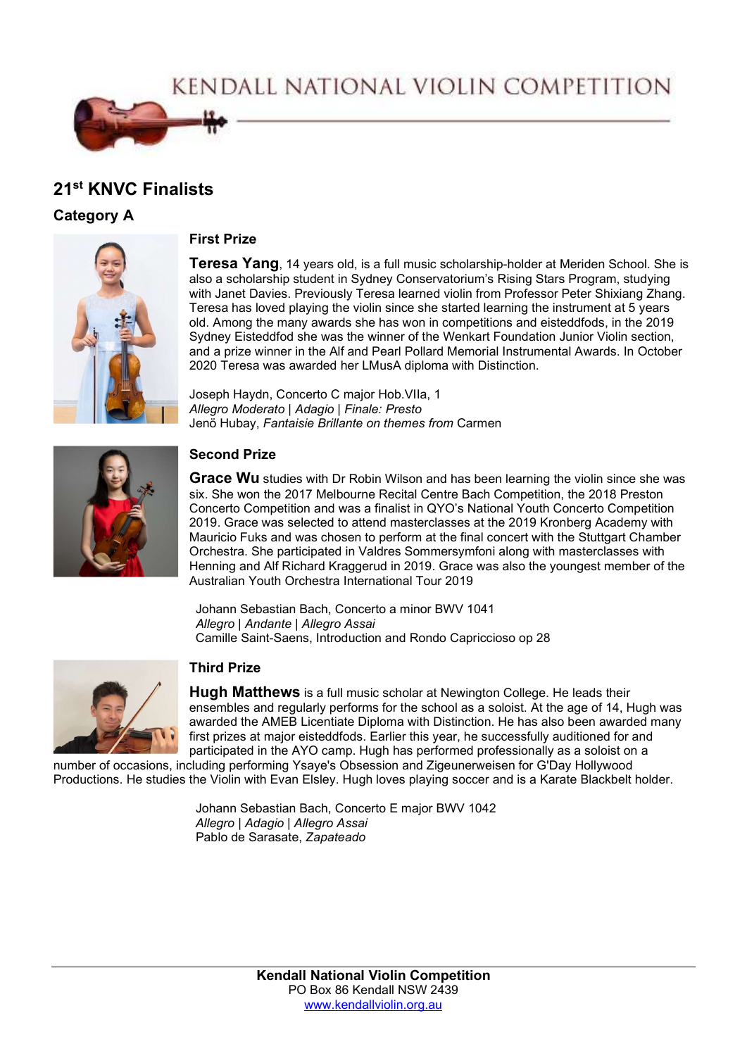KENDALL NATIONAL VIOLIN COMPETITION



# 21<sup>st</sup> KNVC Finalists

Category A



### First Prize

**Teresa Yang**, 14 years old, is a full music scholarship-holder at Meriden School. She is also a scholarship student in Sydney Conservatorium's Rising Stars Program, studying with Janet Davies. Previously Teresa learned violin from Professor Peter Shixiang Zhang. Teresa has loved playing the violin since she started learning the instrument at 5 years old. Among the many awards she has won in competitions and eisteddfods, in the 2019 Sydney Eisteddfod she was the winner of the Wenkart Foundation Junior Violin section, and a prize winner in the Alf and Pearl Pollard Memorial Instrumental Awards. In October 2020 Teresa was awarded her LMusA diploma with Distinction.

Joseph Haydn, Concerto C major Hob.VIIa, 1 Allegro Moderato | Adagio | Finale: Presto Jenö Hubay, Fantaisie Brillante on themes from Carmen



## Second Prize

**Grace Wu** studies with Dr Robin Wilson and has been learning the violin since she was six. She won the 2017 Melbourne Recital Centre Bach Competition, the 2018 Preston Concerto Competition and was a finalist in QYO's National Youth Concerto Competition 2019. Grace was selected to attend masterclasses at the 2019 Kronberg Academy with Mauricio Fuks and was chosen to perform at the final concert with the Stuttgart Chamber Orchestra. She participated in Valdres Sommersymfoni along with masterclasses with Henning and Alf Richard Kraggerud in 2019. Grace was also the youngest member of the Australian Youth Orchestra International Tour 2019

 Johann Sebastian Bach, Concerto a minor BWV 1041 Allegro | Andante | Allegro Assai Camille Saint-Saens, Introduction and Rondo Capriccioso op 28



#### Third Prize

Hugh Matthews is a full music scholar at Newington College. He leads their ensembles and regularly performs for the school as a soloist. At the age of 14, Hugh was awarded the AMEB Licentiate Diploma with Distinction. He has also been awarded many first prizes at major eisteddfods. Earlier this year, he successfully auditioned for and participated in the AYO camp. Hugh has performed professionally as a soloist on a

number of occasions, including performing Ysaye's Obsession and Zigeunerweisen for G'Day Hollywood Productions. He studies the Violin with Evan Elsley. Hugh loves playing soccer and is a Karate Blackbelt holder.

> Johann Sebastian Bach, Concerto E major BWV 1042 Allegro | Adagio | Allegro Assai Pablo de Sarasate, Zapateado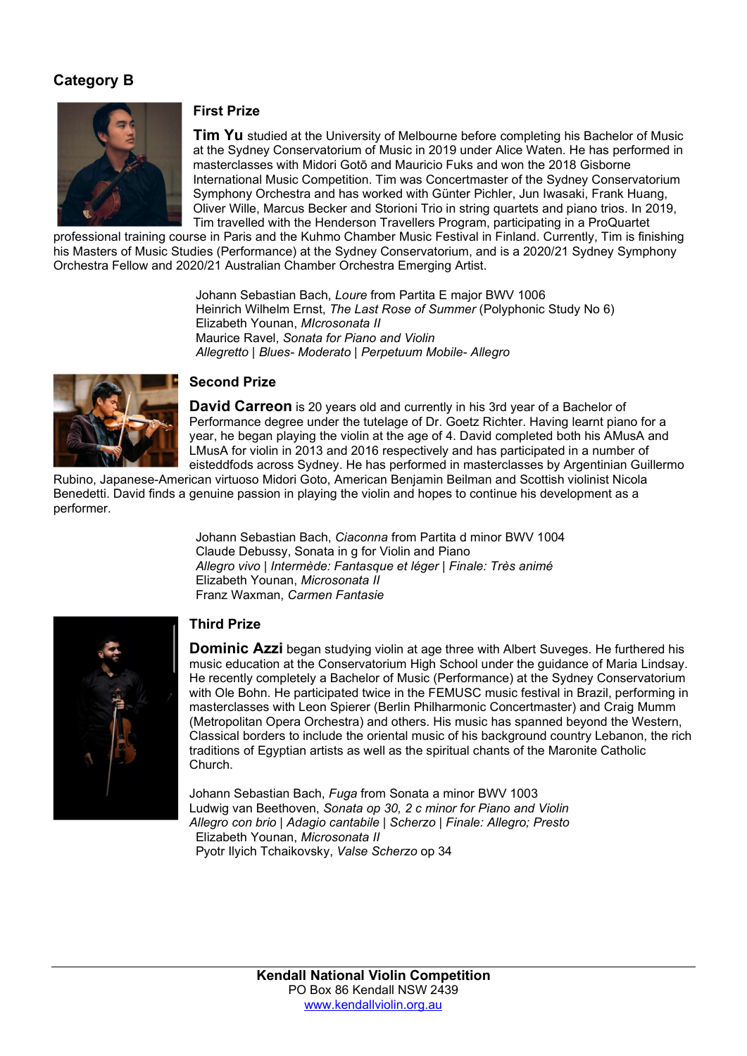## Category B



#### First Prize

Tim Yu studied at the University of Melbourne before completing his Bachelor of Music at the Sydney Conservatorium of Music in 2019 under Alice Waten. He has performed in masterclasses with Midori Gotō and Mauricio Fuks and won the 2018 Gisborne International Music Competition. Tim was Concertmaster of the Sydney Conservatorium Symphony Orchestra and has worked with Günter Pichler, Jun Iwasaki, Frank Huang, Oliver Wille, Marcus Becker and Storioni Trio in string quartets and piano trios. In 2019, Tim travelled with the Henderson Travellers Program, participating in a ProQuartet

professional training course in Paris and the Kuhmo Chamber Music Festival in Finland. Currently, Tim is finishing his Masters of Music Studies (Performance) at the Sydney Conservatorium, and is a 2020/21 Sydney Symphony Orchestra Fellow and 2020/21 Australian Chamber Orchestra Emerging Artist.

> Johann Sebastian Bach, Loure from Partita E major BWV 1006 Heinrich Wilhelm Ernst, The Last Rose of Summer (Polyphonic Study No 6) Elizabeth Younan, MIcrosonata II Maurice Ravel, Sonata for Piano and Violin Allegretto | Blues- Moderato | Perpetuum Mobile- Allegro



#### Second Prize

David Carreon is 20 years old and currently in his 3rd year of a Bachelor of Performance degree under the tutelage of Dr. Goetz Richter. Having learnt piano for a year, he began playing the violin at the age of 4. David completed both his AMusA and LMusA for violin in 2013 and 2016 respectively and has participated in a number of eisteddfods across Sydney. He has performed in masterclasses by Argentinian Guillermo

Rubino, Japanese-American virtuoso Midori Goto, American Benjamin Beilman and Scottish violinist Nicola Benedetti. David finds a genuine passion in playing the violin and hopes to continue his development as a performer.

> Johann Sebastian Bach, Ciaconna from Partita d minor BWV 1004 Claude Debussy, Sonata in g for Violin and Piano Allegro vivo | Intermède: Fantasque et léger | Finale: Très animé Elizabeth Younan, Microsonata II Franz Waxman, Carmen Fantasie



## Third Prize

**Dominic Azzi** began studying violin at age three with Albert Suveges. He furthered his music education at the Conservatorium High School under the guidance of Maria Lindsay. He recently completely a Bachelor of Music (Performance) at the Sydney Conservatorium with Ole Bohn. He participated twice in the FEMUSC music festival in Brazil, performing in masterclasses with Leon Spierer (Berlin Philharmonic Concertmaster) and Craig Mumm (Metropolitan Opera Orchestra) and others. His music has spanned beyond the Western, Classical borders to include the oriental music of his background country Lebanon, the rich traditions of Egyptian artists as well as the spiritual chants of the Maronite Catholic Church.

Johann Sebastian Bach, Fuga from Sonata a minor BWV 1003 Ludwig van Beethoven, Sonata op 30, 2 c minor for Piano and Violin Allegro con brio | Adagio cantabile | Scherzo | Finale: Allegro; Presto Elizabeth Younan, Microsonata II Pyotr Ilyich Tchaikovsky, Valse Scherzo op 34